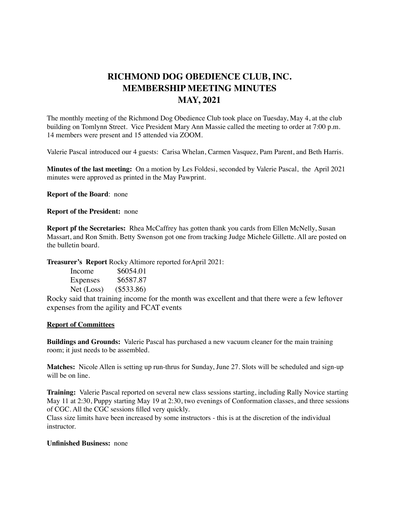## **RICHMOND DOG OBEDIENCE CLUB, INC. MEMBERSHIP MEETING MINUTES MAY, 2021**

The monthly meeting of the Richmond Dog Obedience Club took place on Tuesday, May 4, at the club building on Tomlynn Street. Vice President Mary Ann Massie called the meeting to order at 7:00 p.m. 14 members were present and 15 attended via ZOOM.

Valerie Pascal introduced our 4 guests: Carisa Whelan, Carmen Vasquez, Pam Parent, and Beth Harris.

**Minutes of the last meeting:** On a motion by Les Foldesi, seconded by Valerie Pascal, the April 2021 minutes were approved as printed in the May Pawprint.

**Report of the Board**: none

**Report of the President:** none

**Report pf the Secretaries:** Rhea McCaffrey has gotten thank you cards from Ellen McNelly, Susan Massart, and Ron Smith. Betty Swenson got one from tracking Judge Michele Gillette. All are posted on the bulletin board.

**Treasurer's Report** Rocky Altimore reported forApril 2021:

| Income     | \$6054.01    |
|------------|--------------|
| Expenses   | \$6587.87    |
| Net (Loss) | $(\$533.86)$ |

Rocky said that training income for the month was excellent and that there were a few leftover expenses from the agility and FCAT events

## **Report of Committees**

**Buildings and Grounds:** Valerie Pascal has purchased a new vacuum cleaner for the main training room; it just needs to be assembled.

**Matches:** Nicole Allen is setting up run-thrus for Sunday, June 27. Slots will be scheduled and sign-up will be on line.

**Training:** Valerie Pascal reported on several new class sessions starting, including Rally Novice starting May 11 at 2:30, Puppy starting May 19 at 2:30, two evenings of Conformation classes, and three sessions of CGC. All the CGC sessions filled very quickly.

Class size limits have been increased by some instructors - this is at the discretion of the individual instructor.

## **Unfinished Business:** none